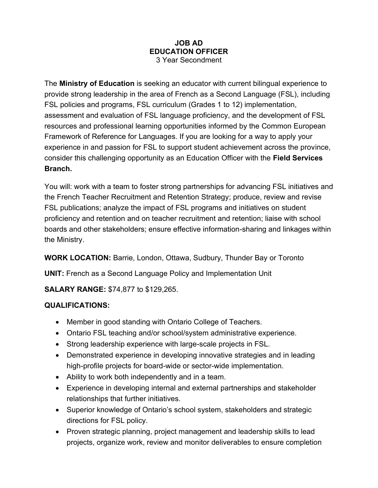## **JOB AD EDUCATION OFFICER** 3 Year Secondment

The **Ministry of Education** is seeking an educator with current bilingual experience to provide strong leadership in the area of French as a Second Language (FSL), including FSL policies and programs, FSL curriculum (Grades 1 to 12) implementation, assessment and evaluation of FSL language proficiency, and the development of FSL resources and professional learning opportunities informed by the Common European Framework of Reference for Languages. If you are looking for a way to apply your experience in and passion for FSL to support student achievement across the province, consider this challenging opportunity as an Education Officer with the **Field Services Branch.**

You will: work with a team to foster strong partnerships for advancing FSL initiatives and the French Teacher Recruitment and Retention Strategy; produce, review and revise FSL publications; analyze the impact of FSL programs and initiatives on student proficiency and retention and on teacher recruitment and retention; liaise with school boards and other stakeholders; ensure effective information-sharing and linkages within the Ministry.

**WORK LOCATION:** Barrie, London, Ottawa, Sudbury, Thunder Bay or Toronto

**UNIT:** French as a Second Language Policy and Implementation Unit

**SALARY RANGE:** \$74,877 to \$129,265.

## **QUALIFICATIONS:**

- Member in good standing with Ontario College of Teachers.
- Ontario FSL teaching and/or school/system administrative experience.
- Strong leadership experience with large-scale projects in FSL.
- Demonstrated experience in developing innovative strategies and in leading high-profile projects for board-wide or sector-wide implementation.
- Ability to work both independently and in a team.
- Experience in developing internal and external partnerships and stakeholder relationships that further initiatives.
- Superior knowledge of Ontario's school system, stakeholders and strategic directions for FSL policy.
- Proven strategic planning, project management and leadership skills to lead projects, organize work, review and monitor deliverables to ensure completion